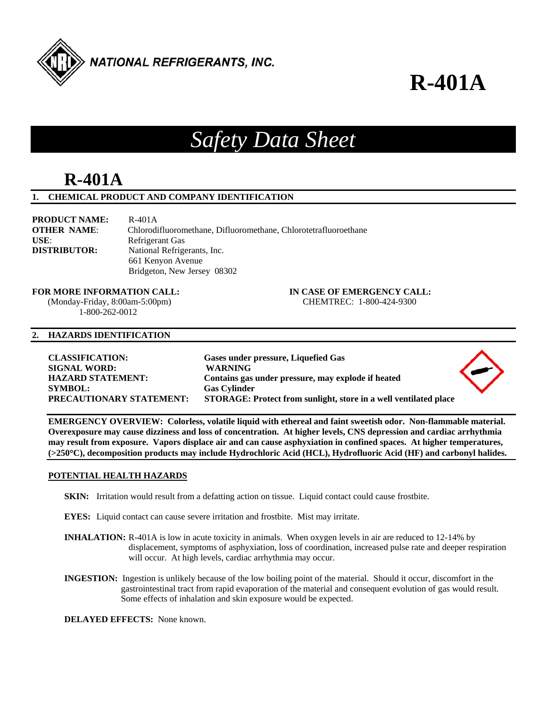

## *Safety Data Sheet*

## **R-401A**

#### **1. CHEMICAL PRODUCT AND COMPANY IDENTIFICATION**

**PRODUCT NAME:** R-401A **OTHER NAME**: Chlorodifluoromethane, Difluoromethane, Chlorotetrafluoroethane USE: Refrigerant Gas **DISTRIBUTOR:** National Refrigerants, Inc. 661 Kenyon Avenue Bridgeton, New Jersey 08302

**FOR MORE INFORMATION CALL: IN CASE OF EMERGENCY CALL:** 

 (Monday-Friday, 8:00am-5:00pm) CHEMTREC: 1-800-424-9300 1-800-262-0012

#### **2. HAZARDS IDENTIFICATION**

**CLASSIFICATION: Gases under pressure, Liquefied Gas SIGNAL WORD: WARNING HAZARD STATEMENT: Contains gas under pressure, may explode if heated SYMBOL: Gas Cylinder PRECAUTIONARY STATEMENT: STORAGE: Protect from sunlight, store in a well ventilated place** 



**EMERGENCY OVERVIEW: Colorless, volatile liquid with ethereal and faint sweetish odor. Non-flammable material. Overexposure may cause dizziness and loss of concentration. At higher levels, CNS depression and cardiac arrhythmia may result from exposure. Vapors displace air and can cause asphyxiation in confined spaces. At higher temperatures, (>250C), decomposition products may include Hydrochloric Acid (HCL), Hydrofluoric Acid (HF) and carbonyl halides.** 

#### **POTENTIAL HEALTH HAZARDS**

- **SKIN:** Irritation would result from a defatting action on tissue. Liquid contact could cause frostbite.
- **EYES:** Liquid contact can cause severe irritation and frostbite. Mist may irritate.
- **INHALATION:** R-401A is low in acute toxicity in animals. When oxygen levels in air are reduced to 12-14% by displacement, symptoms of asphyxiation, loss of coordination, increased pulse rate and deeper respiration will occur. At high levels, cardiac arrhythmia may occur.
- **INGESTION:** Ingestion is unlikely because of the low boiling point of the material. Should it occur, discomfort in the gastrointestinal tract from rapid evaporation of the material and consequent evolution of gas would result. Some effects of inhalation and skin exposure would be expected.

**DELAYED EFFECTS:** None known.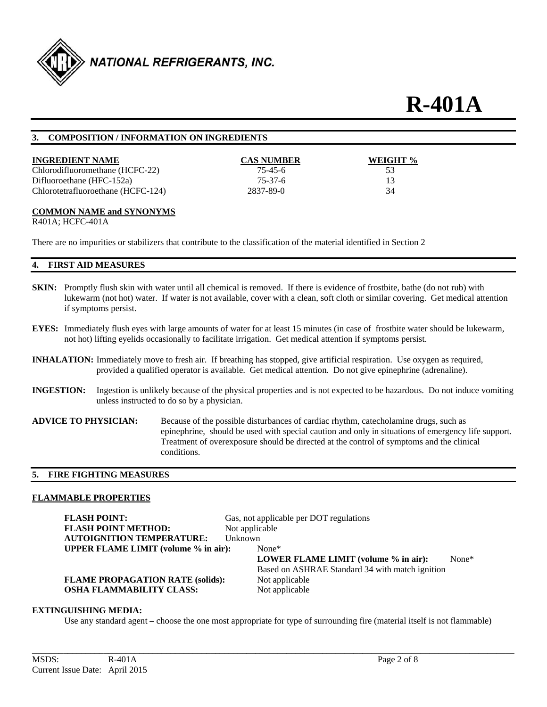

#### **3. COMPOSITION / INFORMATION ON INGREDIENTS**

| <b>INGREDIENT NAME</b>             | <b>CAS NUMBER</b> | WEIGHT % |
|------------------------------------|-------------------|----------|
| Chlorodifluoromethane (HCFC-22)    | 75-45-6           | 53       |
| Difluoroethane (HFC-152a)          | 75-37-6           |          |
| Chlorotetrafluoroethane (HCFC-124) | 2837-89-0         | 34       |

#### **COMMON NAME and SYNONYMS**

R401A; HCFC-401A

There are no impurities or stabilizers that contribute to the classification of the material identified in Section 2

### **4. FIRST AID MEASURES**

- **SKIN:** Promptly flush skin with water until all chemical is removed. If there is evidence of frostbite, bathe (do not rub) with lukewarm (not hot) water. If water is not available, cover with a clean, soft cloth or similar covering. Get medical attention if symptoms persist.
- **EYES:** Immediately flush eyes with large amounts of water for at least 15 minutes (in case of frostbite water should be lukewarm, not hot) lifting eyelids occasionally to facilitate irrigation. Get medical attention if symptoms persist.
- **INHALATION:** Immediately move to fresh air. If breathing has stopped, give artificial respiration. Use oxygen as required, provided a qualified operator is available. Get medical attention. Do not give epinephrine (adrenaline).
- **INGESTION:** Ingestion is unlikely because of the physical properties and is not expected to be hazardous. Do not induce vomiting unless instructed to do so by a physician.
- **ADVICE TO PHYSICIAN:** Because of the possible disturbances of cardiac rhythm, catecholamine drugs, such as epinephrine, should be used with special caution and only in situations of emergency life support. Treatment of overexposure should be directed at the control of symptoms and the clinical conditions.

#### **5. FIRE FIGHTING MEASURES**

### **FLAMMABLE PROPERTIES**

| <b>FLASH POINT:</b><br><b>FLASH POINT METHOD:</b><br><b>AUTOIGNITION TEMPERATURE:</b> | Gas, not applicable per DOT regulations<br>Not applicable<br><b>Unknown</b> |                                                                                                  |
|---------------------------------------------------------------------------------------|-----------------------------------------------------------------------------|--------------------------------------------------------------------------------------------------|
| <b>UPPER FLAME LIMIT (volume % in air):</b>                                           | $None*$                                                                     | LOWER FLAME LIMIT (volume % in air):<br>None*<br>Based on ASHRAE Standard 34 with match ignition |
| <b>FLAME PROPAGATION RATE (solids):</b><br><b>OSHA FLAMMABILITY CLASS:</b>            | Not applicable<br>Not applicable                                            |                                                                                                  |

## **EXTINGUISHING MEDIA:**

Use any standard agent – choose the one most appropriate for type of surrounding fire (material itself is not flammable)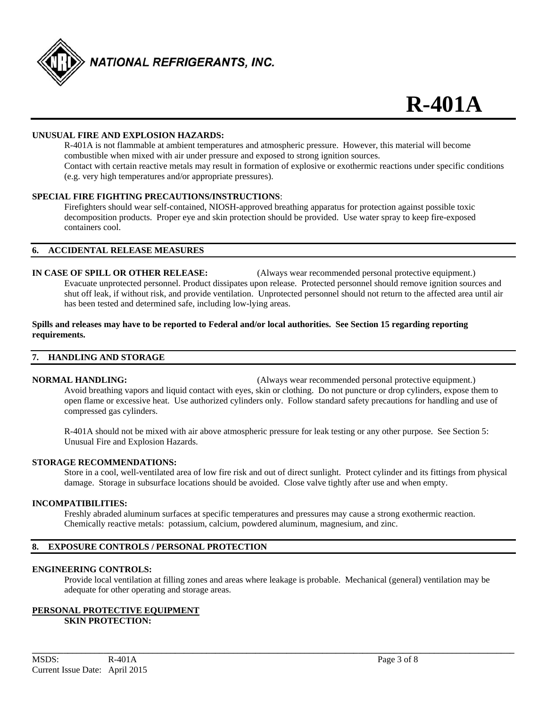

#### **UNUSUAL FIRE AND EXPLOSION HAZARDS:**

 R-401A is not flammable at ambient temperatures and atmospheric pressure. However, this material will become combustible when mixed with air under pressure and exposed to strong ignition sources. Contact with certain reactive metals may result in formation of explosive or exothermic reactions under specific conditions (e.g. very high temperatures and/or appropriate pressures).

#### **SPECIAL FIRE FIGHTING PRECAUTIONS/INSTRUCTIONS**:

 Firefighters should wear self-contained, NIOSH-approved breathing apparatus for protection against possible toxic decomposition products. Proper eye and skin protection should be provided. Use water spray to keep fire-exposed containers cool.

#### **6. ACCIDENTAL RELEASE MEASURES**

**IN CASE OF SPILL OR OTHER RELEASE:** (Always wear recommended personal protective equipment.) Evacuate unprotected personnel. Product dissipates upon release. Protected personnel should remove ignition sources and shut off leak, if without risk, and provide ventilation. Unprotected personnel should not return to the affected area until air has been tested and determined safe, including low-lying areas.

#### **Spills and releases may have to be reported to Federal and/or local authorities. See Section 15 regarding reporting requirements.**

#### **7. HANDLING AND STORAGE**

**NORMAL HANDLING:** (Always wear recommended personal protective equipment.) Avoid breathing vapors and liquid contact with eyes, skin or clothing. Do not puncture or drop cylinders, expose them to open flame or excessive heat. Use authorized cylinders only. Follow standard safety precautions for handling and use of compressed gas cylinders.

R-401A should not be mixed with air above atmospheric pressure for leak testing or any other purpose. See Section 5: Unusual Fire and Explosion Hazards.

#### **STORAGE RECOMMENDATIONS:**

 Store in a cool, well-ventilated area of low fire risk and out of direct sunlight. Protect cylinder and its fittings from physical damage. Storage in subsurface locations should be avoided. Close valve tightly after use and when empty.

#### **INCOMPATIBILITIES:**

Freshly abraded aluminum surfaces at specific temperatures and pressures may cause a strong exothermic reaction. Chemically reactive metals: potassium, calcium, powdered aluminum, magnesium, and zinc.

#### **8. EXPOSURE CONTROLS / PERSONAL PROTECTION**

#### **ENGINEERING CONTROLS:**

 Provide local ventilation at filling zones and areas where leakage is probable. Mechanical (general) ventilation may be adequate for other operating and storage areas.

**\_\_\_\_\_\_\_\_\_\_\_\_\_\_\_\_\_\_\_\_\_\_\_\_\_\_\_\_\_\_\_\_\_\_\_\_\_\_\_\_\_\_\_\_\_\_\_\_\_\_\_\_\_\_\_\_\_\_\_\_\_\_\_\_\_\_\_\_\_\_\_\_\_\_\_\_\_\_\_\_\_\_\_\_\_\_\_\_\_\_\_\_\_\_\_\_\_\_\_\_\_\_\_\_\_\_\_\_** 

#### **PERSONAL PROTECTIVE EQUIPMENT**

#### **SKIN PROTECTION:**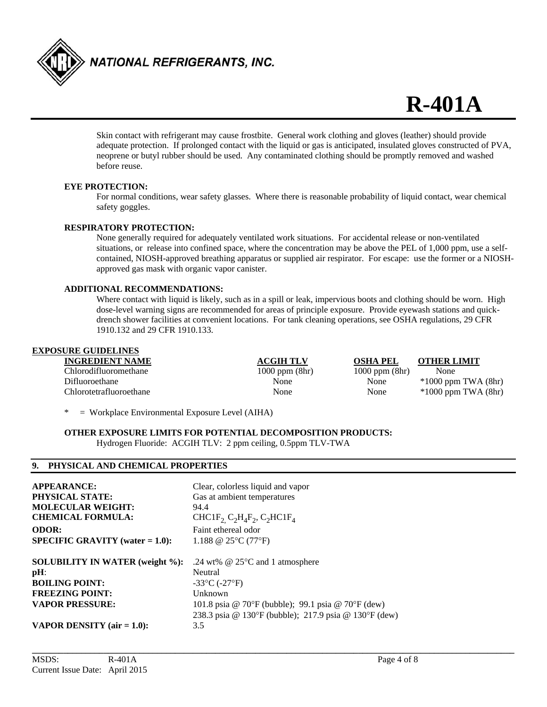

 Skin contact with refrigerant may cause frostbite. General work clothing and gloves (leather) should provide adequate protection. If prolonged contact with the liquid or gas is anticipated, insulated gloves constructed of PVA, neoprene or butyl rubber should be used. Any contaminated clothing should be promptly removed and washed before reuse.

#### **EYE PROTECTION:**

 For normal conditions, wear safety glasses. Where there is reasonable probability of liquid contact, wear chemical safety goggles.

#### **RESPIRATORY PROTECTION:**

 None generally required for adequately ventilated work situations. For accidental release or non-ventilated situations, or release into confined space, where the concentration may be above the PEL of 1,000 ppm, use a self contained, NIOSH-approved breathing apparatus or supplied air respirator. For escape: use the former or a NIOSH approved gas mask with organic vapor canister.

#### **ADDITIONAL RECOMMENDATIONS:**

 Where contact with liquid is likely, such as in a spill or leak, impervious boots and clothing should be worn. High dose-level warning signs are recommended for areas of principle exposure. Provide eyewash stations and quick drench shower facilities at convenient locations. For tank cleaning operations, see OSHA regulations, 29 CFR 1910.132 and 29 CFR 1910.133.

#### **EXPOSURE GUIDELINES**

**INGREDIENT NAME ACGIH TLV OSHA PEL OTHER LIMIT** Chlorodifluoromethane 1000 ppm (8hr) 1000 ppm (8hr) None Difluoroethane None None \*1000 ppm TWA (8hr) Chlorotetrafluoroethane None None \*1000 ppm TWA (8hr)

 $=$  Workplace Environmental Exposure Level (AIHA)

### **OTHER EXPOSURE LIMITS FOR POTENTIAL DECOMPOSITION PRODUCTS:**

Hydrogen Fluoride: ACGIH TLV: 2 ppm ceiling, 0.5ppm TLV-TWA

#### **9. PHYSICAL AND CHEMICAL PROPERTIES**

| <b>APPEARANCE:</b>                     | Clear, colorless liquid and vapor                                                                  |
|----------------------------------------|----------------------------------------------------------------------------------------------------|
| PHYSICAL STATE:                        | Gas at ambient temperatures                                                                        |
| <b>MOLECULAR WEIGHT:</b>               | 94.4                                                                                               |
| <b>CHEMICAL FORMULA:</b>               | CHC1F <sub>2</sub> C <sub>2</sub> H <sub>4</sub> F <sub>2</sub> , C <sub>2</sub> HC1F <sub>4</sub> |
| <b>ODOR:</b>                           | Faint ethereal odor                                                                                |
| $SPECIFIC GRAVITY (water = 1.0):$      | 1.188 @ $25^{\circ}$ C (77°F)                                                                      |
| <b>SOLUBILITY IN WATER (weight %):</b> | .24 wt% $@$ 25 $°C$ and 1 atmosphere                                                               |
| pH:                                    | Neutral                                                                                            |
| <b>BOILING POINT:</b>                  | $-33^{\circ}$ C ( $-27^{\circ}$ F)                                                                 |
| <b>FREEZING POINT:</b>                 | Unknown                                                                                            |
| <b>VAPOR PRESSURE:</b>                 | 101.8 psia @ 70°F (bubble); 99.1 psia @ 70°F (dew)                                                 |
|                                        | 238.3 psia @ 130°F (bubble); 217.9 psia @ 130°F (dew)                                              |
| VAPOR DENSITY (air $= 1.0$ ):          | 3.5                                                                                                |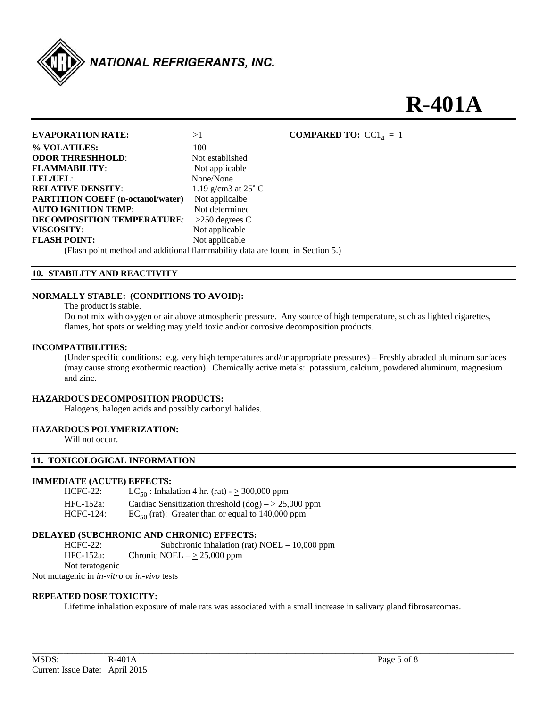

| <b>EVAPORATION RATE:</b>                                                      | >1                           | <b>COMPARED TO:</b> $CC1A = 1$ |
|-------------------------------------------------------------------------------|------------------------------|--------------------------------|
| % VOLATILES:                                                                  | 100                          |                                |
| <b>ODOR THRESHHOLD:</b>                                                       | Not established              |                                |
| <b>FLAMMABILITY:</b>                                                          | Not applicable               |                                |
| LEL/UEL:                                                                      | None/None                    |                                |
| <b>RELATIVE DENSITY:</b>                                                      | 1.19 g/cm3 at $25^{\circ}$ C |                                |
| <b>PARTITION COEFF</b> (n-octanol/water)                                      | Not applicalbe               |                                |
| <b>AUTO IGNITION TEMP:</b>                                                    | Not determined               |                                |
| <b>DECOMPOSITION TEMPERATURE:</b>                                             | $>250$ degrees C             |                                |
| VISCOSITY:                                                                    | Not applicable               |                                |
| <b>FLASH POINT:</b>                                                           | Not applicable               |                                |
| (Flash point method and additional flammability data are found in Section 5.) |                              |                                |

#### **10. STABILITY AND REACTIVITY**

#### **NORMALLY STABLE: (CONDITIONS TO AVOID):**

The product is stable.

 Do not mix with oxygen or air above atmospheric pressure. Any source of high temperature, such as lighted cigarettes, flames, hot spots or welding may yield toxic and/or corrosive decomposition products.

#### **INCOMPATIBILITIES:**

 (Under specific conditions: e.g. very high temperatures and/or appropriate pressures) – Freshly abraded aluminum surfaces (may cause strong exothermic reaction). Chemically active metals: potassium, calcium, powdered aluminum, magnesium and zinc.

#### **HAZARDOUS DECOMPOSITION PRODUCTS:**

Halogens, halogen acids and possibly carbonyl halides.

#### **HAZARDOUS POLYMERIZATION:**

Will not occur.

#### **11. TOXICOLOGICAL INFORMATION**

#### **IMMEDIATE (ACUTE) EFFECTS:**

| $HCFC-22$ :      | LC <sub>50</sub> : Inhalation 4 hr. (rat) - $\geq$ 300,000 ppm |
|------------------|----------------------------------------------------------------|
| HFC-152a:        | Cardiac Sensitization threshold $(dog) - \geq 25,000$ ppm      |
| <b>HCFC-124:</b> | $EC_{50}$ (rat): Greater than or equal to 140,000 ppm          |

#### **DELAYED (SUBCHRONIC AND CHRONIC) EFFECTS:**

HCFC-22: Subchronic inhalation (rat) NOEL – 10,000 ppm HFC-152a: Chronic NOEL –  $\geq$  25,000 ppm Not teratogenic

Not mutagenic in *in-vitro* or *in-vivo* tests

#### **REPEATED DOSE TOXICITY:**

Lifetime inhalation exposure of male rats was associated with a small increase in salivary gland fibrosarcomas.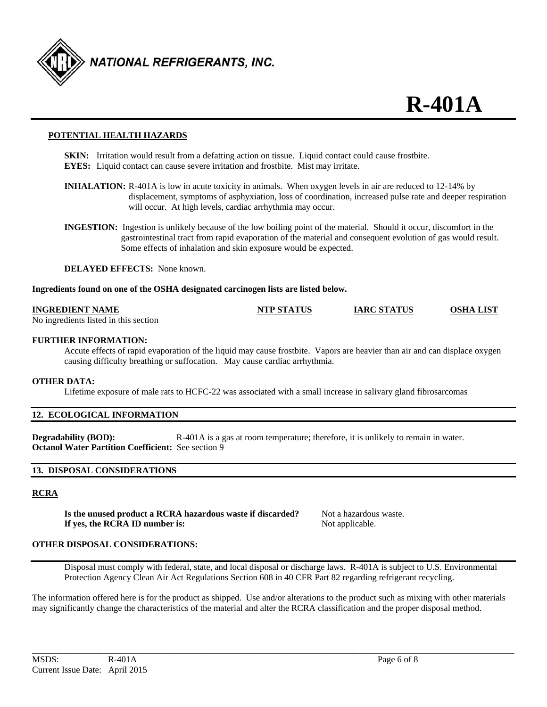

#### **POTENTIAL HEALTH HAZARDS**

- **SKIN:** Irritation would result from a defatting action on tissue. Liquid contact could cause frostbite. **EYES:** Liquid contact can cause severe irritation and frostbite. Mist may irritate.
- **INHALATION:** R-401A is low in acute toxicity in animals. When oxygen levels in air are reduced to 12-14% by displacement, symptoms of asphyxiation, loss of coordination, increased pulse rate and deeper respiration will occur. At high levels, cardiac arrhythmia may occur.
- **INGESTION:** Ingestion is unlikely because of the low boiling point of the material. Should it occur, discomfort in the gastrointestinal tract from rapid evaporation of the material and consequent evolution of gas would result. Some effects of inhalation and skin exposure would be expected.

**DELAYED EFFECTS:** None known.

#### **Ingredients found on one of the OSHA designated carcinogen lists are listed below.**

#### **INGREDIENT NAME NTP STATUS IARC STATUS OSHA LIST**

No ingredients listed in this section

#### **FURTHER INFORMATION:**

 Accute effects of rapid evaporation of the liquid may cause frostbite. Vapors are heavier than air and can displace oxygen causing difficulty breathing or suffocation. May cause cardiac arrhythmia.

#### **OTHER DATA:**

Lifetime exposure of male rats to HCFC-22 was associated with a small increase in salivary gland fibrosarcomas

#### **12. ECOLOGICAL INFORMATION**

**Degradability (BOD):** R-401A is a gas at room temperature; therefore, it is unlikely to remain in water. **Octanol Water Partition Coefficient:** See section 9

#### **13. DISPOSAL CONSIDERATIONS**

#### **RCRA**

**Is the unused product a RCRA hazardous waste if discarded?** Not a hazardous waste. **If yes, the RCRA ID number is:** Not applicable.

#### **OTHER DISPOSAL CONSIDERATIONS:**

Disposal must comply with federal, state, and local disposal or discharge laws. R-401A is subject to U.S. Environmental Protection Agency Clean Air Act Regulations Section 608 in 40 CFR Part 82 regarding refrigerant recycling.

The information offered here is for the product as shipped. Use and/or alterations to the product such as mixing with other materials may significantly change the characteristics of the material and alter the RCRA classification and the proper disposal method.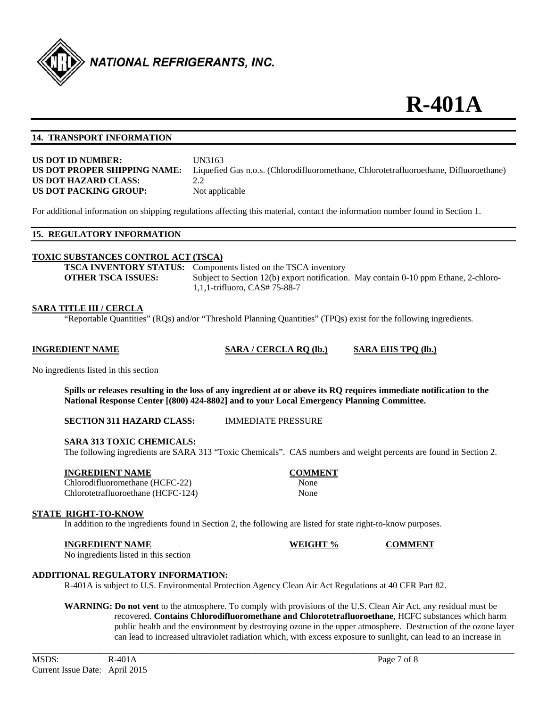

#### **14. TRANSPORT INFORMATION**

| <b>US DOT ID NUMBER:</b>     | UN  |
|------------------------------|-----|
| US DOT PROPER SHIPPING NAME: | Lig |
| US DOT HAZARD CLASS:         | 2.2 |
| US DOT PACKING GROUP:        | Not |

**UN3163** Liquefied Gas n.o.s. (Chlorodifluoromethane, Chlorotetrafluoroethane, Difluoroethane) Not applicable

For additional information on shipping regulations affecting this material, contact the information number found in Section 1.

#### **15. REGULATORY INFORMATION**

#### **TOXIC SUBSTANCES CONTROL ACT (TSCA)**

**TSCA INVENTORY STATUS:** Components listed on the TSCA inventory **OTHER TSCA ISSUES:** Subject to Section 12(b) export notification. May contain 0-10 ppm Ethane, 2-chloro-1,1,1-trifluoro, CAS# 75-88-7

#### **SARA TITLE III / CERCLA**

"Reportable Quantities" (RQs) and/or "Threshold Planning Quantities" (TPQs) exist for the following ingredients.

**INGREDIENT NAME SARA / CERCLA RQ (lb.) SARA EHS TPQ (lb.)**

No ingredients listed in this section

**Spills or releases resulting in the loss of any ingredient at or above its RQ requires immediate notification to the National Response Center [(800) 424-8802] and to your Local Emergency Planning Committee.** 

**SECTION 311 HAZARD CLASS:** IMMEDIATE PRESSURE

#### **SARA 313 TOXIC CHEMICALS:**

The following ingredients are SARA 313 "Toxic Chemicals". CAS numbers and weight percents are found in Section 2.

#### **INGREDIENT NAME COMMENT**

Chlorodifluoromethane (HCFC-22) None Chlorotetrafluoroethane (HCFC-124) None

#### **STATE RIGHT-TO-KNOW**

In addition to the ingredients found in Section 2, the following are listed for state right-to-know purposes.

**INGREDIENT NAME WEIGHT % COMMENT** 

No ingredients listed in this section

#### **ADDITIONAL REGULATORY INFORMATION:**

R-401A is subject to U.S. Environmental Protection Agency Clean Air Act Regulations at 40 CFR Part 82.

**WARNING: Do not vent** to the atmosphere. To comply with provisions of the U.S. Clean Air Act, any residual must be recovered. **Contains Chlorodifluoromethane and Chlorotetrafluoroethane**, HCFC substances which harm public health and the environment by destroying ozone in the upper atmosphere. Destruction of the ozone layer can lead to increased ultraviolet radiation which, with excess exposure to sunlight, can lead to an increase in